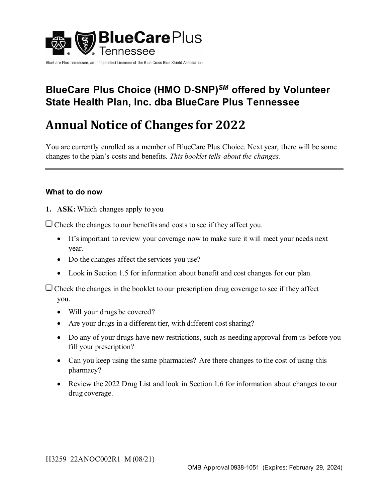

BlueCare Plus Tennessee, an Independent Licensee of the Blue Cross Blue Shield Association

# **BlueCare Plus Choice (HMO D-SNP)***SM* **offered by Volunteer State Health Plan, Inc. dba BlueCare Plus Tennessee**

# **Annual Notice of Changes for 2022**

You are currently enrolled as a member of BlueCare Plus Choice. Next year, there will be some changes to the plan's costs and benefits*. This booklet tells about the changes.*

### **What to do now**

**1. ASK:** Which changes apply to you

 $\Box$  Check the changes to our benefits and costs to see if they affect you.

- It's important to review your coverage now to make sure it will meet your needs next year.
- Do the changes affect the services you use?
- Look in Section 1.5 for information about benefit and cost changes for our plan.

 $\Box$  Check the changes in the booklet to our prescription drug coverage to see if they affect you.

- Will your drugs be covered?
- Are your drugs in a different tier, with different cost sharing?
- Do any of your drugs have new restrictions, such as needing approval from us before you fill your prescription?
- Can you keep using the same pharmacies? Are there changes to the cost of using this pharmacy?
- Review the 2022 Drug List and look in Section 1.6 for information about changes to our drug coverage.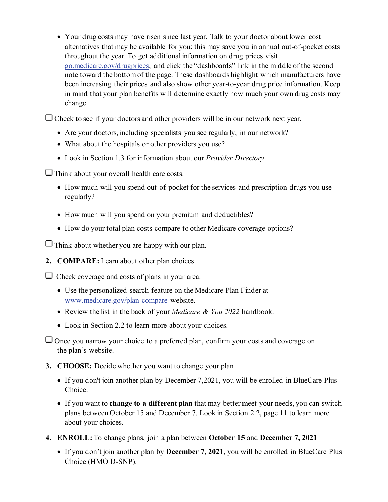• Your drug costs may have risen since last year. Talk to your doctor about lower cost alternatives that may be available for you; this may save you in annual out-of-pocket costs throughout the year. To get additional information on drug prices visit [go.medicare.gov/drugprices](https://go.medicare.gov/drugprices), and click the "dashboards" link in the middle of the second note toward the bottom of the page. These dashboards highlight which manufacturers have been increasing their prices and also show other year-to-year drug price information. Keep in mind that your plan benefits will determine exactly how much your own drug costs may change.

 $\Box$  Check to see if your doctors and other providers will be in our network next year.

- Are your doctors, including specialists you see regularly, in our network?
- What about the hospitals or other providers you use?
- Look in Section 1.3 for information about our *Provider Directory*.

 $\Box$  Think about your overall health care costs.

- How much will you spend out-of-pocket for the services and prescription drugs you use regularly?
- How much will you spend on your premium and deductibles?
- How do your total plan costs compare to other Medicare coverage options?

 $\Box$  Think about whether you are happy with our plan.

**2. COMPARE:** Learn about other plan choices

 $\Box$  Check coverage and costs of plans in your area.

- Use the personalized search feature on the Medicare Plan Finder at [www.medicare.gov/plan-compare](https://www.medicare.gov/plan-compare/) website.
- Review the list in the back of your *Medicare & You 2022* handbook.
- Look in Section 2.2 to learn more about your choices.

 $\Box$  Once you narrow your choice to a preferred plan, confirm your costs and coverage on the plan's website.

- **3. CHOOSE:** Decide whether you want to change your plan
	- If you don't join another plan by December 7,2021, you will be enrolled in BlueCare Plus Choice.
	- If you want to **change to a different plan** that may better meet your needs, you can switch plans between October 15 and December 7. Look in Section 2.2, page 11 to learn more about your choices.
- **4. ENROLL:** To change plans, join a plan between **October 15** and **December 7, 2021**
	- If you don't join another plan by **December 7, 2021**, you will be enrolled in BlueCare Plus Choice (HMO D-SNP).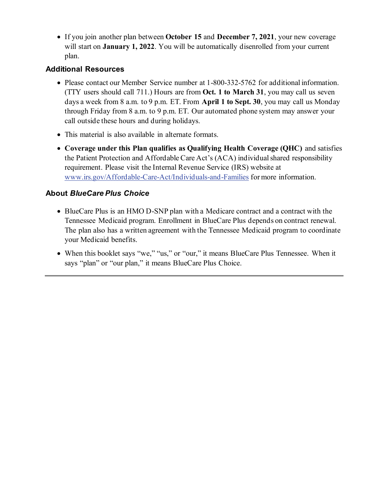• If you join another plan between **October 15** and **December 7, 2021**, your new coverage will start on **January 1, 2022**. You will be automatically disenrolled from your current plan.

### **Additional Resources**

- Please contact our Member Service number at 1-800-332-5762 for additional information. (TTY users should call 711.) Hours are from **Oct. 1 to March 31**, you may call us seven days a week from 8 a.m. to 9 p.m. ET. From **April 1 to Sept. 30**, you may call us Monday through Friday from 8 a.m. to 9 p.m. ET. Our automated phone system may answer your call outside these hours and during holidays.
- This material is also available in alternate formats.
- **Coverage under this Plan qualifies as Qualifying Health Coverage (QHC)** and satisfies the Patient Protection and Affordable Care Act's (ACA) individual shared responsibility requirement. Please visit the Internal Revenue Service (IRS) website at [www.irs.gov/Affordable-Care-Act/Individuals-and-Families](https://www.irs.gov/Affordable-Care-Act/Individuals-and-Families) for more information.

### **About** *BlueCare Plus Choice*

- BlueCare Plus is an HMO D-SNP plan with a Medicare contract and a contract with the Tennessee Medicaid program. Enrollment in BlueCare Plus depends on contract renewal. The plan also has a written agreement with the Tennessee Medicaid program to coordinate your Medicaid benefits.
- When this booklet says "we," "us," or "our," it means BlueCare Plus Tennessee. When it says "plan" or "our plan," it means BlueCare Plus Choice.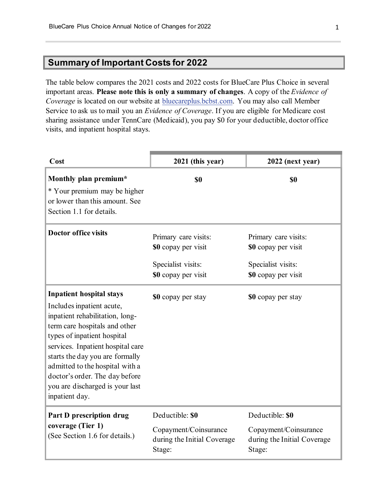# **Summary of Important Costs for 2022**

The table below compares the 2021 costs and 2022 costs for BlueCare Plus Choice in several important areas. **Please note this is only a summary of changes**. A copy of the *Evidence of Coverage* is located on our website at [bluecareplus.bcbst.com.](https://bluecareplus.bcbst.com/) You may also call Member Service to ask us to mail you an *Evidence of Coverage*. If you are eligible for Medicare cost sharing assistance under TennCare (Medicaid), you pay \$0 for your deductible, doctor office visits, and inpatient hospital stays.

| Cost                                                                                                                                                                                                                                                                                                                                                              | 2021 (this year)                                                                         | 2022 (next year)                                                                         |
|-------------------------------------------------------------------------------------------------------------------------------------------------------------------------------------------------------------------------------------------------------------------------------------------------------------------------------------------------------------------|------------------------------------------------------------------------------------------|------------------------------------------------------------------------------------------|
| Monthly plan premium*<br>* Your premium may be higher<br>or lower than this amount. See<br>Section 1.1 for details.                                                                                                                                                                                                                                               | \$0                                                                                      | \$0                                                                                      |
| <b>Doctor office visits</b>                                                                                                                                                                                                                                                                                                                                       | Primary care visits:<br>\$0 copay per visit<br>Specialist visits:<br>\$0 copay per visit | Primary care visits:<br>\$0 copay per visit<br>Specialist visits:<br>\$0 copay per visit |
| <b>Inpatient hospital stays</b><br>Includes inpatient acute,<br>inpatient rehabilitation, long-<br>term care hospitals and other<br>types of inpatient hospital<br>services. Inpatient hospital care<br>starts the day you are formally<br>admitted to the hospital with a<br>doctor's order. The day before<br>you are discharged is your last<br>inpatient day. | \$0 copay per stay                                                                       | \$0 copay per stay                                                                       |
| Part D prescription drug<br>coverage (Tier 1)<br>(See Section 1.6 for details.)                                                                                                                                                                                                                                                                                   | Deductible: \$0<br>Copayment/Coinsurance<br>during the Initial Coverage<br>Stage:        | Deductible: \$0<br>Copayment/Coinsurance<br>during the Initial Coverage<br>Stage:        |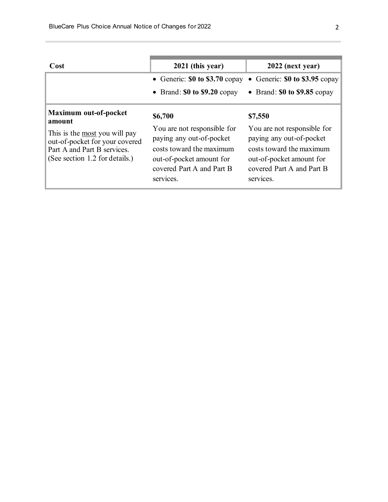| Cost                                                                                                                                                                       | 2021 (this year)                                                                                                                                                     | 2022 (next year)                                                                                                                                                     |
|----------------------------------------------------------------------------------------------------------------------------------------------------------------------------|----------------------------------------------------------------------------------------------------------------------------------------------------------------------|----------------------------------------------------------------------------------------------------------------------------------------------------------------------|
|                                                                                                                                                                            | • Generic: $$0$ to $$3.70$ copay<br>• Brand: $$0$ to $$9.20$ copay                                                                                                   | • Generic: $$0$ to $$3.95$ copay<br>• Brand: $$0$ to $$9.85$ copay                                                                                                   |
| <b>Maximum out-of-pocket</b><br>amount<br>This is the most you will pay<br>out-of-pocket for your covered<br>Part A and Part B services.<br>(See section 1.2 for details.) | \$6,700<br>You are not responsible for<br>paying any out-of-pocket<br>costs toward the maximum<br>out-of-pocket amount for<br>covered Part A and Part B<br>services. | \$7,550<br>You are not responsible for<br>paying any out-of-pocket<br>costs toward the maximum<br>out-of-pocket amount for<br>covered Part A and Part B<br>services. |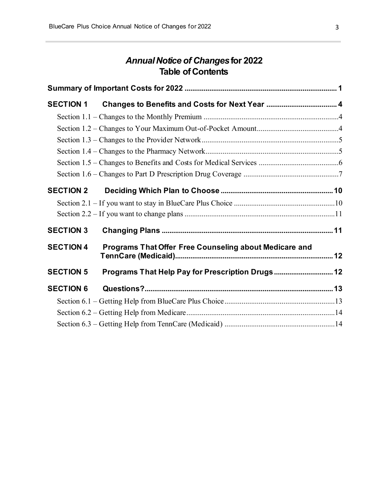# *Annual Notice of Changes***for 2022 Table of Contents**

| <b>SECTION 1</b> |                                                        |  |
|------------------|--------------------------------------------------------|--|
|                  |                                                        |  |
|                  |                                                        |  |
|                  |                                                        |  |
|                  |                                                        |  |
|                  |                                                        |  |
|                  |                                                        |  |
| <b>SECTION 2</b> |                                                        |  |
|                  |                                                        |  |
|                  |                                                        |  |
| <b>SECTION 3</b> |                                                        |  |
| <b>SECTION 4</b> | Programs That Offer Free Counseling about Medicare and |  |
| <b>SECTION 5</b> | Programs That Help Pay for Prescription Drugs 12       |  |
| <b>SECTION 6</b> |                                                        |  |
|                  |                                                        |  |
|                  |                                                        |  |
|                  |                                                        |  |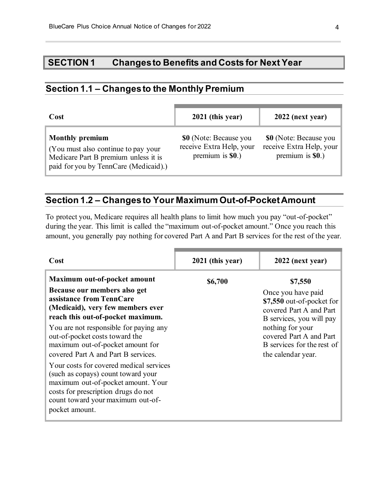# **SECTION 1 Changes to Benefits and Costs for Next Year**

# **Section 1.1 – Changes to the Monthly Premium**

| Cost                                                                                                                                            | 2021 (this year)                                                                | 2022 (next year)                                                         |
|-------------------------------------------------------------------------------------------------------------------------------------------------|---------------------------------------------------------------------------------|--------------------------------------------------------------------------|
| <b>Monthly premium</b><br>(You must also continue to pay your)<br>Medicare Part B premium unless it is<br>paid for you by TennCare (Medicaid).) | <b>\$0</b> (Note: Because you<br>receive Extra Help, your<br>premium is $$0.$ ) | \$0 (Note: Because you<br>receive Extra Help, your<br>premium is $$0.$ ) |

# **Section 1.2 – Changes to Your Maximum Out-of-Pocket Amount**

To protect you, Medicare requires all health plans to limit how much you pay "out-of-pocket" during the year. This limit is called the "maximum out-of-pocket amount." Once you reach this amount, you generally pay nothing for covered Part A and Part B services for the rest of the year.

| Cost                                                                                                                                                                                                                                                                                                                                                                                                                                                                                                                                           | 2021 (this year) | 2022 (next year)                                                                                                                                                                                                     |
|------------------------------------------------------------------------------------------------------------------------------------------------------------------------------------------------------------------------------------------------------------------------------------------------------------------------------------------------------------------------------------------------------------------------------------------------------------------------------------------------------------------------------------------------|------------------|----------------------------------------------------------------------------------------------------------------------------------------------------------------------------------------------------------------------|
| Maximum out-of-pocket amount<br>Because our members also get<br>assistance from TennCare<br>(Medicaid), very few members ever<br>reach this out-of-pocket maximum.<br>You are not responsible for paying any<br>out-of-pocket costs toward the<br>maximum out-of-pocket amount for<br>covered Part A and Part B services.<br>Your costs for covered medical services<br>(such as copays) count toward your<br>maximum out-of-pocket amount. Your<br>costs for prescription drugs do not<br>count toward your maximum out-of-<br>pocket amount. | \$6,700          | \$7,550<br>Once you have paid<br>\$7,550 out-of-pocket for<br>covered Part A and Part<br>B services, you will pay<br>nothing for your<br>covered Part A and Part<br>B services for the rest of<br>the calendar year. |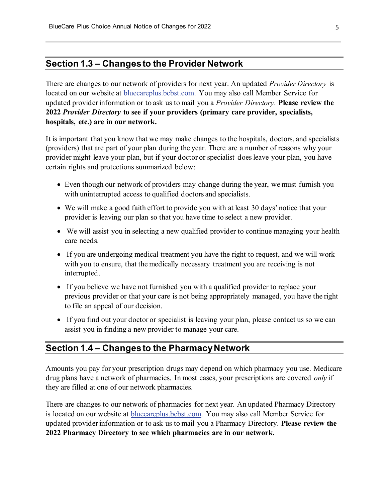### **Section 1.3 – Changes to the Provider Network**

There are changes to our network of providers for next year. An updated *Provider Directory* is located on our website at [bluecareplus.bcbst.com.](https://bluecareplus.bcbst.com/) You may also call Member Service for updated provider information or to ask us to mail you a *Provider Directory*. **Please review the 2022** *Provider Directory* **to see if your providers (primary care provider, specialists, hospitals, etc.) are in our network.**

It is important that you know that we may make changes to the hospitals, doctors, and specialists (providers) that are part of your plan during the year. There are a number of reasons why your provider might leave your plan, but if your doctor or specialist does leave your plan, you have certain rights and protections summarized below:

- Even though our network of providers may change during the year, we must furnish you with uninterrupted access to qualified doctors and specialists.
- We will make a good faith effort to provide you with at least 30 days' notice that your provider is leaving our plan so that you have time to select a new provider.
- We will assist you in selecting a new qualified provider to continue managing your health care needs.
- If you are undergoing medical treatment you have the right to request, and we will work with you to ensure, that the medically necessary treatment you are receiving is not interrupted.
- If you believe we have not furnished you with a qualified provider to replace your previous provider or that your care is not being appropriately managed, you have the right to file an appeal of our decision.
- If you find out your doctor or specialist is leaving your plan, please contact us so we can assist you in finding a new provider to manage your care.

### **Section 1.4 – Changes to the Pharmacy Network**

Amounts you pay for your prescription drugs may depend on which pharmacy you use. Medicare drug plans have a network of pharmacies. In most cases, your prescriptions are covered *only* if they are filled at one of our network pharmacies.

There are changes to our network of pharmacies for next year. An updated Pharmacy Directory is located on our website at **bluecareplus.bcbst.com**. You may also call Member Service for updated provider information or to ask us to mail you a Pharmacy Directory. **Please review the 2022 Pharmacy Directory to see which pharmacies are in our network.**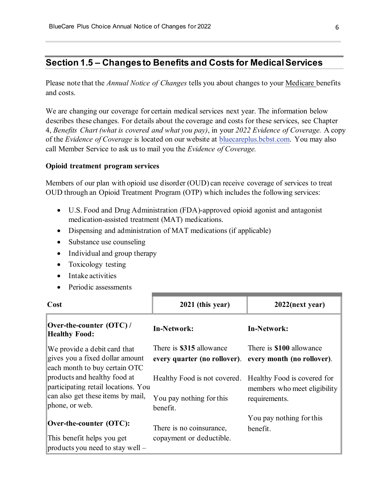# **Section 1.5 – Changes to Benefits and Costs for Medical Services**

Please note that the *Annual Notice of Changes* tells you about changes to your Medicare benefits and costs.

We are changing our coverage for certain medical services next year. The information below describes these changes. For details about the coverage and costs for these services, see Chapter 4, *Benefits Chart (what is covered and what you pay)*, in your *2022 Evidence of Coverage.* A copy of the *Evidence of Coverage* is located on our website at [bluecareplus.bcbst.com.](https://bluecareplus.bcbst.com/) You may also call Member Service to ask us to mail you the *Evidence of Coverage.*

#### **Opioid treatment program services**

Members of our plan with opioid use disorder (OUD) can receive coverage of services to treat OUD through an Opioid Treatment Program (OTP) which includes the following services:

- U.S. Food and Drug Administration (FDA)-approved opioid agonist and antagonist medication-assisted treatment (MAT) medications.
- Dispensing and administration of MAT medications (if applicable)
- Substance use counseling
- Individual and group therapy
- Toxicology testing
- Intake activities
- Periodic assessments

| Cost                                                                                                                       | 2021 (this year)                                                     | $2022$ (next year)                                                           |
|----------------------------------------------------------------------------------------------------------------------------|----------------------------------------------------------------------|------------------------------------------------------------------------------|
| Over-the-counter (OTC)/<br><b>Healthy Food:</b>                                                                            | In-Network:                                                          | In-Network:                                                                  |
| We provide a debit card that<br>gives you a fixed dollar amount<br>each month to buy certain OTC                           | There is \$315 allowance<br>every quarter (no rollover).             | There is <b>\$100</b> allowance<br>every month (no rollover).                |
| products and healthy food at<br>participating retail locations. You<br>can also get these items by mail,<br>phone, or web. | Healthy Food is not covered.<br>You pay nothing for this<br>benefit. | Healthy Food is covered for<br>members who meet eligibility<br>requirements. |
| Over-the-counter (OTC):<br>This benefit helps you get                                                                      | There is no coinsurance,<br>copayment or deductible.                 | You pay nothing for this<br>benefit.                                         |
| products you need to stay well $-$                                                                                         |                                                                      |                                                                              |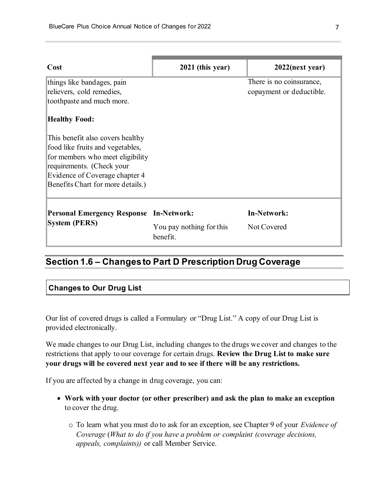| Cost                                                                   | 2021 (this year)                     | $2022$ (next year)       |
|------------------------------------------------------------------------|--------------------------------------|--------------------------|
| things like bandages, pain                                             |                                      | There is no coinsurance, |
| relievers, cold remedies,                                              |                                      | copayment or deductible. |
| toothpaste and much more.                                              |                                      |                          |
| <b>Healthy Food:</b>                                                   |                                      |                          |
| This benefit also covers healthy                                       |                                      |                          |
| food like fruits and vegetables,                                       |                                      |                          |
| for members who meet eligibility                                       |                                      |                          |
| requirements. (Check your                                              |                                      |                          |
| Evidence of Coverage chapter 4                                         |                                      |                          |
| Benefits Chart for more details.)                                      |                                      |                          |
| <b>Personal Emergency Response In-Network:</b><br><b>System (PERS)</b> |                                      | <b>In-Network:</b>       |
|                                                                        | You pay nothing for this<br>benefit. | Not Covered              |

# **Section 1.6 – Changes to Part D Prescription Drug Coverage**

#### **Changes to Our Drug List**

Our list of covered drugs is called a Formulary or "Drug List." A copy of our Drug List is provided electronically.

We made changes to our Drug List, including changes to the drugs we cover and changes to the restrictions that apply to our coverage for certain drugs. **Review the Drug List to make sure your drugs will be covered next year and to see if there will be any restrictions.**

If you are affected by a change in drug coverage, you can:

- **Work with your doctor (or other prescriber) and ask the plan to make an exception** to cover the drug.
	- o To learn what you must do to ask for an exception, see Chapter 9 of your *E*v*idence of Coverage* (*What to do if you have a problem or complaint (coverage decisions, appeals, complaints))* or call Member Service.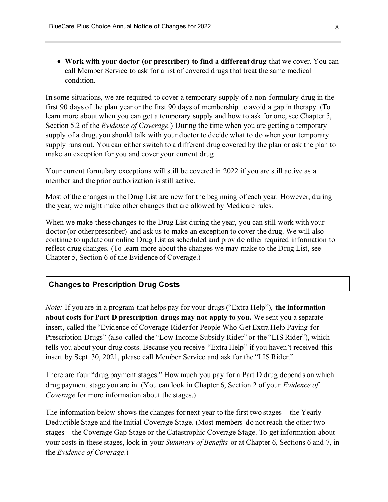• **Work with your doctor (or prescriber) to find a different drug** that we cover. You can call Member Service to ask for a list of covered drugs that treat the same medical condition.

In some situations, we are required to cover a temporary supply of a non-formulary drug in the first 90 days of the plan year or the first 90 days of membership to avoid a gap in therapy. (To learn more about when you can get a temporary supply and how to ask for one, see Chapter 5, Section 5.2 of the *Evidence of Coverage.*) During the time when you are getting a temporary supply of a drug, you should talk with your doctor to decide what to do when your temporary supply runs out. You can either switch to a different drug covered by the plan or ask the plan to make an exception for you and cover your current drug.

Your current formulary exceptions will still be covered in 2022 if you are still active as a member and the prior authorization is still active.

Most of the changes in the Drug List are new for the beginning of each year. However, during the year, we might make other changes that are allowed by Medicare rules.

When we make these changes to the Drug List during the year, you can still work with your doctor (or other prescriber) and ask us to make an exception to cover the drug. We will also continue to update our online Drug List as scheduled and provide other required information to reflect drug changes. (To learn more about the changes we may make to the Drug List, see Chapter 5, Section 6 of the Evidence of Coverage.)

#### **Changes to Prescription Drug Costs**

*Note:* If you are in a program that helps pay for your drugs ("Extra Help"), **the information about costs for Part D prescription drugs may not apply to you.** We sent you a separate insert, called the "Evidence of Coverage Rider for People Who Get Extra Help Paying for Prescription Drugs" (also called the "Low Income Subsidy Rider" or the "LIS Rider"), which tells you about your drug costs. Because you receive "Extra Help" if you haven't received this insert by Sept. 30, 2021, please call Member Service and ask for the "LIS Rider."

There are four "drug payment stages." How much you pay for a Part D drug depends on which drug payment stage you are in. (You can look in Chapter 6, Section 2 of your *Evidence of Coverage* for more information about the stages.)

The information below shows the changes for next year to the first two stages – the Yearly Deductible Stage and the Initial Coverage Stage. (Most members do not reach the other two stages – the Coverage Gap Stage or the Catastrophic Coverage Stage. To get information about your costs in these stages, look in your *Summary of Benefits* or at Chapter 6, Sections 6 and 7, in the *Evidence of Coverage*.)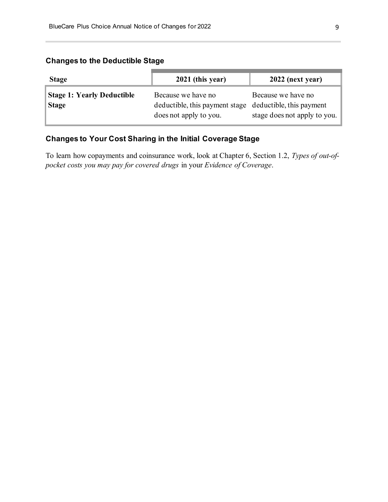#### **Changes to the Deductible Stage**

| <b>Stage</b>                                      | 2021 (this year)                                                                                        | 2022 (next year)                                   |
|---------------------------------------------------|---------------------------------------------------------------------------------------------------------|----------------------------------------------------|
| <b>Stage 1: Yearly Deductible</b><br><b>Stage</b> | Because we have no<br>deductible, this payment stage deductible, this payment<br>does not apply to you. | Because we have no<br>stage does not apply to you. |

### **Changes to Your Cost Sharing in the Initial Coverage Stage**

To learn how copayments and coinsurance work, look at Chapter 6, Section 1.2, *Types of out-ofpocket costs you may pay for covered drugs* in your *Evidence of Coverage*.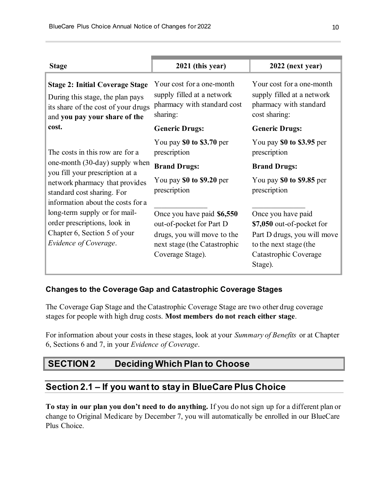| <b>Stage</b>                                                                                                                                                                                                                                                                                                                        | 2021 (this year)                                                                                                                          | 2022 (next year)                                                                                                                             |  |
|-------------------------------------------------------------------------------------------------------------------------------------------------------------------------------------------------------------------------------------------------------------------------------------------------------------------------------------|-------------------------------------------------------------------------------------------------------------------------------------------|----------------------------------------------------------------------------------------------------------------------------------------------|--|
| <b>Stage 2: Initial Coverage Stage</b><br>During this stage, the plan pays<br>its share of the cost of your drugs<br>and you pay your share of the                                                                                                                                                                                  | Your cost for a one-month<br>supply filled at a network<br>pharmacy with standard cost<br>sharing:                                        | Your cost for a one-month<br>supply filled at a network<br>pharmacy with standard<br>cost sharing:                                           |  |
| cost.                                                                                                                                                                                                                                                                                                                               | <b>Generic Drugs:</b>                                                                                                                     | <b>Generic Drugs:</b>                                                                                                                        |  |
| The costs in this row are for a<br>one-month (30-day) supply when<br>you fill your prescription at a<br>network pharmacy that provides<br>standard cost sharing. For<br>information about the costs for a<br>long-term supply or for mail-<br>order prescriptions, look in<br>Chapter 6, Section 5 of your<br>Evidence of Coverage. | You pay $$0$ to $$3.70$ per<br>prescription                                                                                               | You pay $$0$ to $$3.95$ per<br>prescription                                                                                                  |  |
|                                                                                                                                                                                                                                                                                                                                     | <b>Brand Drugs:</b>                                                                                                                       | <b>Brand Drugs:</b>                                                                                                                          |  |
|                                                                                                                                                                                                                                                                                                                                     | You pay \$0 to \$9.20 per<br>prescription                                                                                                 | You pay \$0 to \$9.85 per<br>prescription                                                                                                    |  |
|                                                                                                                                                                                                                                                                                                                                     | Once you have paid \$6,550<br>out-of-pocket for Part D<br>drugs, you will move to the<br>next stage (the Catastrophic<br>Coverage Stage). | Once you have paid<br>\$7,050 out-of-pocket for<br>Part D drugs, you will move<br>to the next stage (the<br>Catastrophic Coverage<br>Stage). |  |

#### **Changes to the Coverage Gap and Catastrophic Coverage Stages**

The Coverage Gap Stage and the Catastrophic Coverage Stage are two other drug coverage stages for people with high drug costs. **Most members do not reach either stage**.

For information about your costs in these stages, look at your *Summary of Benefits* or at Chapter 6, Sections 6 and 7, in your *Evidence of Coverage*.

# **SECTION 2 Deciding Which Plan to Choose**

### **Section 2.1 – If you want to stay in BlueCare Plus Choice**

**To stay in our plan you don't need to do anything.** If you do not sign up for a different plan or change to Original Medicare by December 7, you will automatically be enrolled in our BlueCare Plus Choice.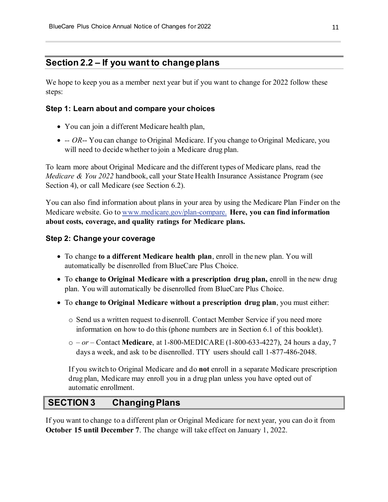### **Section 2.2 – If you want to change plans**

We hope to keep you as a member next year but if you want to change for 2022 follow these steps:

#### **Step 1: Learn about and compare your choices**

- You can join a different Medicare health plan,
- - *OR*-- You can change to Original Medicare. If you change to Original Medicare, you will need to decide whether to join a Medicare drug plan.

To learn more about Original Medicare and the different types of Medicare plans, read the *Medicare & You 2022* handbook, call your State Health Insurance Assistance Program (see Section 4), or call Medicare (see Section 6.2).

You can also find information about plans in your area by using the Medicare Plan Finder on the Medicare website. Go to [www.medicare.gov/plan-compare.](https://www.medicare.gov/plan-compare) **Here, you can find information about costs, coverage, and quality ratings for Medicare plans.**

#### **Step 2: Change your coverage**

- To change **to a different Medicare health plan**, enroll in the new plan. You will automatically be disenrolled from BlueCare Plus Choice.
- To **change to Original Medicare with a prescription drug plan,** enroll in the new drug plan. You will automatically be disenrolled from BlueCare Plus Choice.
- To **change to Original Medicare without a prescription drug plan**, you must either:
	- o Send us a written request to disenroll. Contact Member Service if you need more information on how to do this (phone numbers are in Section 6.1 of this booklet).
	- o *– or –* Contact **Medicare**, at 1-800-MEDICARE (1-800-633-4227), 24 hours a day, 7 days a week, and ask to be disenrolled. TTY users should call 1-877-486-2048.

If you switch to Original Medicare and do **not** enroll in a separate Medicare prescription drug plan, Medicare may enroll you in a drug plan unless you have opted out of automatic enrollment.

# **SECTION 3 Changing Plans**

If you want to change to a different plan or Original Medicare for next year, you can do it from **October 15 until December 7**. The change will take effect on January 1, 2022.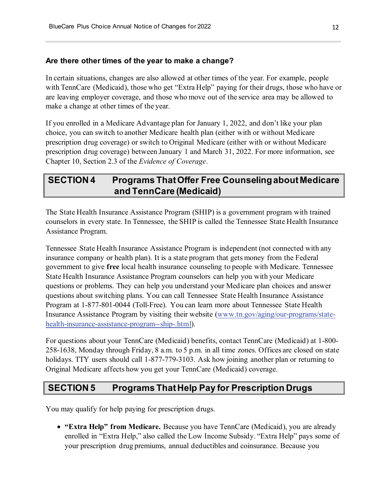#### **Are there other times of the year to make a change?**

In certain situations, changes are also allowed at other times of the year. For example, people with TennCare (Medicaid), those who get "Extra Help" paying for their drugs, those who have or are leaving employer coverage, and those who move out of the service area may be allowed to make a change at other times of the year.

If you enrolled in a Medicare Advantage plan for January 1, 2022, and don't like your plan choice, you can switch to another Medicare health plan (either with or without Medicare prescription drug coverage) or switch to Original Medicare (either with or without Medicare prescription drug coverage) between January 1 and March 31, 2022. For more information, see Chapter 10, Section 2.3 of the *Evidence of Coverage*.

## **SECTION 4 Programs That Offer Free Counseling about Medicare and TennCare (Medicaid)**

The State Health Insurance Assistance Program (SHIP) is a government program with trained counselors in every state. In Tennessee, the SHIP is called the Tennessee State Health Insurance Assistance Program.

Tennessee State Health Insurance Assistance Program is independent (not connected with any insurance company or health plan). It is a state program that gets money from the Federal government to give **free** local health insurance counseling to people with Medicare. Tennessee State Health Insurance Assistance Program counselors can help you with your Medicare questions or problems. They can help you understand your Medicare plan choices and answer questions about switching plans. You can call Tennessee State Health Insurance Assistance Program at 1-877-801-0044 (Toll-Free). You can learn more about Tennessee State Health Insurance Assistance Program by visiting their website [\(www.tn.gov/aging/our-programs/state](https://www.tn.gov/aging/our-programs/state-health-insurance-assistance-program--ship-.html)[health-insurance-assistance-program--ship-.html\).](https://www.tn.gov/aging/our-programs/state-health-insurance-assistance-program--ship-.html)

For questions about your TennCare (Medicaid) benefits, contact TennCare (Medicaid) at 1-800- 258-1638, Monday through Friday, 8 a.m. to 5 p.m. in all time zones. Offices are closed on state holidays. TTY users should call 1-877-779-3103. Ask how joining another plan or returning to Original Medicare affects how you get your TennCare (Medicaid) coverage.

### **SECTION 5 Programs That Help Pay for Prescription Drugs**

You may qualify for help paying for prescription drugs.

• **"Extra Help" from Medicare.** Because you have TennCare (Medicaid), you are already enrolled in "Extra Help," also called the Low Income Subsidy. "Extra Help" pays some of your prescription drug premiums, annual deductibles and coinsurance. Because you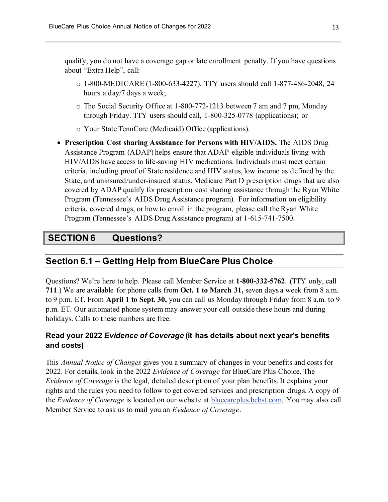qualify, you do not have a coverage gap or late enrollment penalty. If you have questions about "Extra Help", call:

- o 1-800-MEDICARE (1-800-633-4227). TTY users should call 1-877-486-2048, 24 hours a day/7 days a week;
- o The Social Security Office at 1-800-772-1213 between 7 am and 7 pm, Monday through Friday. TTY users should call, 1-800-325-0778 (applications); or
- o Your State TennCare (Medicaid) Office (applications).
- **Prescription Cost sharing Assistance for Persons with HIV/AIDS.** The AIDS Drug Assistance Program (ADAP) helps ensure that ADAP-eligible individuals living with HIV/AIDS have access to life-saving HIV medications. Individuals must meet certain criteria, including proof of State residence and HIV status, low income as defined by the State, and uninsured/under-insured status. Medicare Part D prescription drugs that are also covered by ADAP qualify for prescription cost sharing assistance through the Ryan White Program (Tennessee's AIDS Drug Assistance program)*.* For information on eligibility criteria, covered drugs, or how to enroll in the program, please call the Ryan White Program (Tennessee's AIDS Drug Assistance program) at 1-615-741-7500.

# **SECTION 6 Questions?**

# **Section 6.1 – Getting Help from BlueCare Plus Choice**

Questions? We're here to help. Please call Member Service at **1-800-332-5762**. (TTY only, call **711**.) We are available for phone calls from **Oct. 1 to March 31,** seven days a week from 8 a.m. to 9 p.m. ET. From **April 1 to Sept. 30,** you can call us Monday through Friday from 8 a.m. to 9 p.m. ET. Our automated phone system may answer your call outside these hours and during holidays. Calls to these numbers are free.

### **Read your 2022** *Evidence of Coverage* **(it has details about next year's benefits and costs)**

This *Annual Notice of Changes* gives you a summary of changes in your benefits and costs for 2022. For details, look in the 2022 *Evidence of Coverage* for BlueCare Plus Choice. The *Evidence of Coverage* is the legal, detailed description of your plan benefits. It explains your rights and the rules you need to follow to get covered services and prescription drugs. A copy of the *Evidence of Coverage* is located on our website at [bluecareplus.bcbst.com.](https://bluecareplus.bcbst.com/) You may also call Member Service to ask us to mail you an *Evidence of Coverage*.